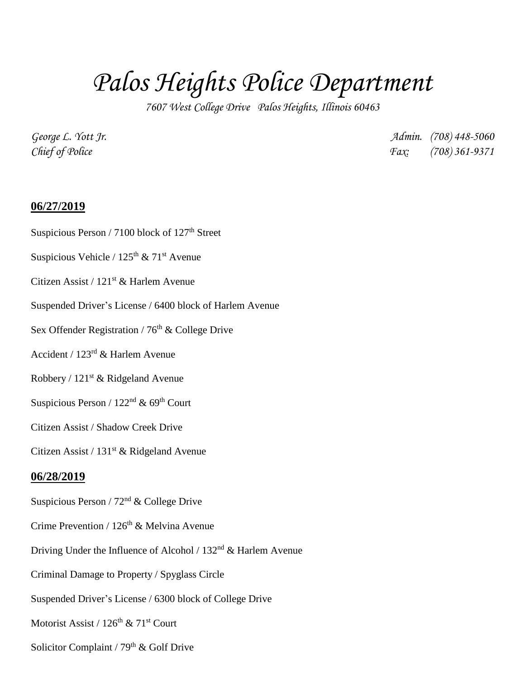# *Palos Heights Police Department*

*7607 West College Drive Palos Heights, Illinois 60463*

*George L. Yott Jr. Admin. (708) 448-5060 Chief of Police Fax: (708) 361-9371*

## **06/27/2019**

- Suspicious Person / 7100 block of  $127<sup>th</sup>$  Street
- Suspicious Vehicle /  $125<sup>th</sup>$  &  $71<sup>st</sup>$  Avenue
- Citizen Assist / 121<sup>st</sup> & Harlem Avenue
- Suspended Driver's License / 6400 block of Harlem Avenue
- Sex Offender Registration /  $76<sup>th</sup>$  & College Drive
- Accident / 123rd & Harlem Avenue
- Robbery / 121st & Ridgeland Avenue
- Suspicious Person /  $122<sup>nd</sup>$  & 69<sup>th</sup> Court
- Citizen Assist / Shadow Creek Drive

Citizen Assist /  $131<sup>st</sup>$  & Ridgeland Avenue

### **06/28/2019**

- Suspicious Person / 72nd & College Drive
- Crime Prevention /  $126<sup>th</sup>$  & Melvina Avenue
- Driving Under the Influence of Alcohol /  $132<sup>nd</sup>$  & Harlem Avenue
- Criminal Damage to Property / Spyglass Circle
- Suspended Driver's License / 6300 block of College Drive
- Motorist Assist / 126<sup>th</sup> & 71<sup>st</sup> Court
- Solicitor Complaint /  $79<sup>th</sup>$  & Golf Drive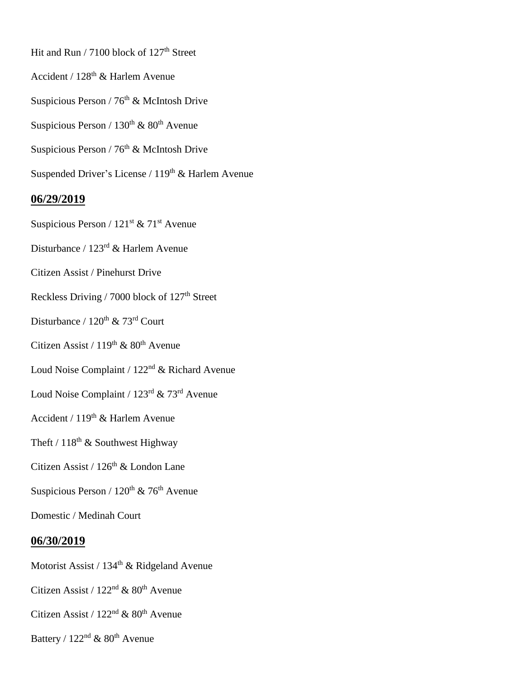Hit and Run / 7100 block of 127<sup>th</sup> Street

- Accident / 128th & Harlem Avenue
- Suspicious Person /  $76<sup>th</sup>$  & McIntosh Drive
- Suspicious Person /  $130<sup>th</sup>$  &  $80<sup>th</sup>$  Avenue
- Suspicious Person /  $76^{th}$  & McIntosh Drive
- Suspended Driver's License /  $119^{\rm th}$  & Harlem Avenue

### **06/29/2019**

- Suspicious Person /  $121^{st}$  &  $71^{st}$  Avenue
- Disturbance / 123rd & Harlem Avenue
- Citizen Assist / Pinehurst Drive
- Reckless Driving / 7000 block of 127<sup>th</sup> Street
- Disturbance / 120<sup>th</sup> & 73<sup>rd</sup> Court
- Citizen Assist /  $119<sup>th</sup>$  &  $80<sup>th</sup>$  Avenue
- Loud Noise Complaint / 122nd & Richard Avenue
- Loud Noise Complaint / 123rd & 73rd Avenue
- Accident / 119<sup>th</sup> & Harlem Avenue
- Theft /  $118<sup>th</sup>$  & Southwest Highway
- Citizen Assist / 126<sup>th</sup> & London Lane
- Suspicious Person /  $120^{th}$  &  $76^{th}$  Avenue
- Domestic / Medinah Court

#### **06/30/2019**

- Motorist Assist / 134<sup>th</sup> & Ridgeland Avenue
- Citizen Assist /  $122<sup>nd</sup>$  &  $80<sup>th</sup>$  Avenue
- Citizen Assist /  $122<sup>nd</sup>$  &  $80<sup>th</sup>$  Avenue
- Battery /  $122<sup>nd</sup>$  &  $80<sup>th</sup>$  Avenue